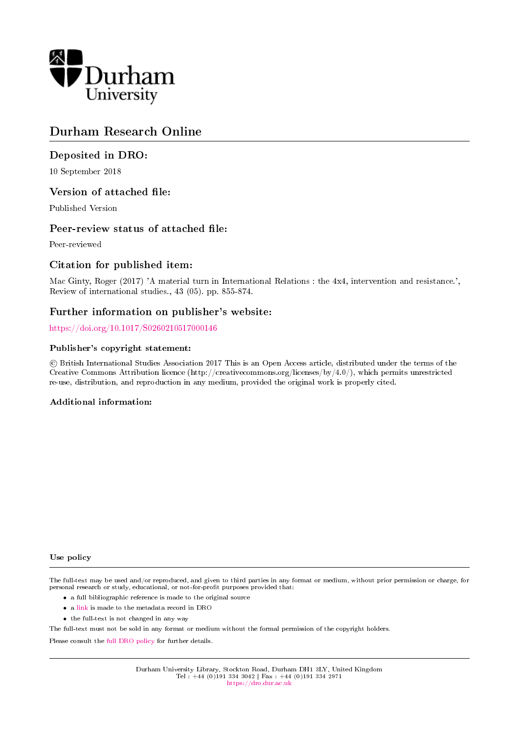

# Durham Research Online

# Deposited in DRO:

10 September 2018

## Version of attached file:

Published Version

# Peer-review status of attached file:

Peer-reviewed

# Citation for published item:

Mac Ginty, Roger (2017) 'A material turn in International Relations : the 4x4, intervention and resistance.', Review of international studies., 43 (05). pp. 855-874.

# Further information on publisher's website:

<https://doi.org/10.1017/S0260210517000146>

### Publisher's copyright statement:

 c British International Studies Association 2017 This is an Open Access article, distributed under the terms of the Creative Commons Attribution licence (http://creativecommons.org/licenses/by/4.0/), which permits unrestricted re-use, distribution, and reproduction in any medium, provided the original work is properly cited.

#### Additional information:

#### Use policy

The full-text may be used and/or reproduced, and given to third parties in any format or medium, without prior permission or charge, for personal research or study, educational, or not-for-profit purposes provided that:

- a full bibliographic reference is made to the original source
- a [link](http://dro.dur.ac.uk/26141/) is made to the metadata record in DRO
- the full-text is not changed in any way

The full-text must not be sold in any format or medium without the formal permission of the copyright holders.

Please consult the [full DRO policy](https://dro.dur.ac.uk/policies/usepolicy.pdf) for further details.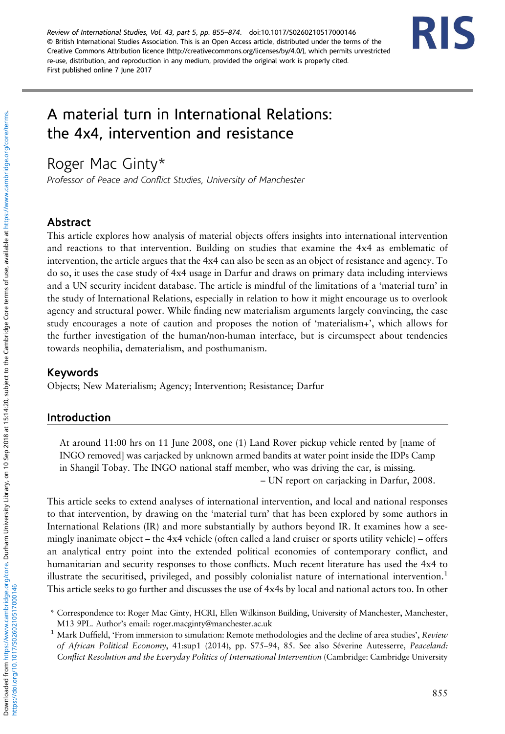Review of International Studies, Vol. 43, part 5, pp. 855–874. doi[:10.1017/S0260210517000146](https://doi.org/10.1017/S0260210517000146) © British International Studies Association. This is an Open Access article, distributed under the terms of the Creative Commons Attribution licence (http://creativecommons.org/licenses/by/4.0/), which permits unrestricted re-use, distribution, and reproduction in any medium, provided the original work is properly cited. First published online 7 June 2017



# A material turn in International Relations: the 4x4, intervention and resistance

م<br>Professor of Peace and Conflict Studies, University of Manchester

#### Abstract

This article explores how analysis of material objects offers insights into international intervention and reactions to that intervention. Building on studies that examine the 4x4 as emblematic of intervention, the article argues that the 4x4 can also be seen as an object of resistance and agency. To do so, it uses the case study of 4x4 usage in Darfur and draws on primary data including interviews and a UN security incident database. The article is mindful of the limitations of a 'material turn' in the study of International Relations, especially in relation to how it might encourage us to overlook agency and structural power. While finding new materialism arguments largely convincing, the case study encourages a note of caution and proposes the notion of 'materialism+', which allows for the further investigation of the human/non-human interface, but is circumspect about tendencies towards neophilia, dematerialism, and posthumanism.

#### Keywords

Objects; New Materialism; Agency; Intervention; Resistance; Darfur

#### Introduction

At around 11:00 hrs on 11 June 2008, one (1) Land Rover pickup vehicle rented by [name of INGO removed] was carjacked by unknown armed bandits at water point inside the IDPs Camp in Shangil Tobay. The INGO national staff member, who was driving the car, is missing. – UN report on carjacking in Darfur, 2008.

This article seeks to extend analyses of international intervention, and local and national responses to that intervention, by drawing on the 'material turn' that has been explored by some authors in International Relations (IR) and more substantially by authors beyond IR. It examines how a seemingly inanimate object – the 4x4 vehicle (often called a land cruiser or sports utility vehicle) – offers an analytical entry point into the extended political economies of contemporary conflict, and humanitarian and security responses to those conflicts. Much recent literature has used the 4x4 to illustrate the securitised, privileged, and possibly colonialist nature of international intervention.<sup>1</sup> This article seeks to go further and discusses the use of 4x4s by local and national actors too. In other

<sup>\*</sup> Correspondence to: Roger Mac Ginty, HCRI, Ellen Wilkinson Building, University of Manchester, Manchester, M13 9PL. Author's email: [roger.macginty@manchester.ac.uk](mailto:roger.macginty@manchester.ac.uk)

<sup>&</sup>lt;sup>1</sup> Mark Duffield, 'From immersion to simulation: Remote methodologies and the decline of area studies', Review of African Political Economy, 41:sup1 (2014), pp. S75–94, 85. See also Séverine Autesserre, Peaceland: Conflict Resolution and the Everyday Politics of International Intervention (Cambridge: Cambridge University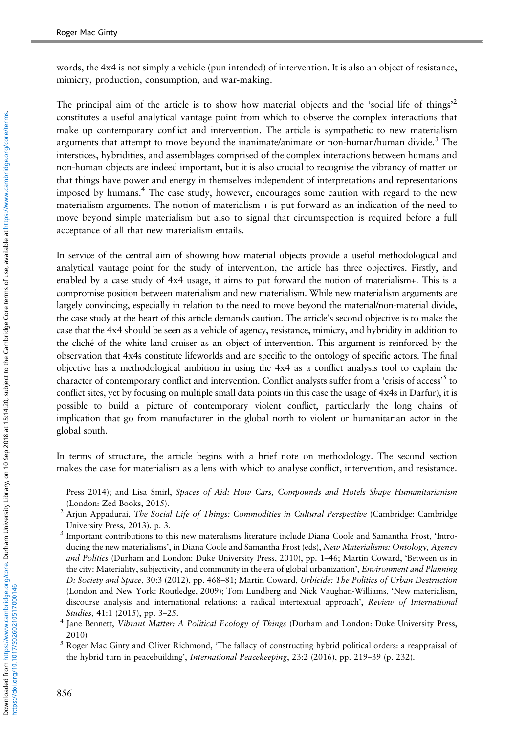words, the 4x4 is not simply a vehicle (pun intended) of intervention. It is also an object of resistance, mimicry, production, consumption, and war-making.

The principal aim of the article is to show how material objects and the 'social life of things<sup>2</sup> constitutes a useful analytical vantage point from which to observe the complex interactions that make up contemporary conflict and intervention. The article is sympathetic to new materialism arguments that attempt to move beyond the inanimate/animate or non-human/human divide.<sup>3</sup> The interstices, hybridities, and assemblages comprised of the complex interactions between humans and non-human objects are indeed important, but it is also crucial to recognise the vibrancy of matter or that things have power and energy in themselves independent of interpretations and representations imposed by humans.<sup>4</sup> The case study, however, encourages some caution with regard to the new materialism arguments. The notion of materialism + is put forward as an indication of the need to move beyond simple materialism but also to signal that circumspection is required before a full acceptance of all that new materialism entails.

In service of the central aim of showing how material objects provide a useful methodological and analytical vantage point for the study of intervention, the article has three objectives. Firstly, and enabled by a case study of 4x4 usage, it aims to put forward the notion of materialism+. This is a compromise position between materialism and new materialism. While new materialism arguments are largely convincing, especially in relation to the need to move beyond the material/non-material divide, the case study at the heart of this article demands caution. The article's second objective is to make the case that the 4x4 should be seen as a vehicle of agency, resistance, mimicry, and hybridity in addition to the cliché of the white land cruiser as an object of intervention. This argument is reinforced by the observation that 4x4s constitute lifeworlds and are specific to the ontology of specific actors. The final objective has a methodological ambition in using the 4x4 as a conflict analysis tool to explain the character of contemporary conflict and intervention. Conflict analysts suffer from a 'crisis of access'<sup>5</sup> to conflict sites, yet by focusing on multiple small data points (in this case the usage of 4x4s in Darfur), it is possible to build a picture of contemporary violent conflict, particularly the long chains of implication that go from manufacturer in the global north to violent or humanitarian actor in the global south.

In terms of structure, the article begins with a brief note on methodology. The second section makes the case for materialism as a lens with which to analyse conflict, intervention, and resistance.

Press 2014); and Lisa Smirl, Spaces of Aid: How Cars, Compounds and Hotels Shape Humanitarianism (London: Zed Books, 2015).

- <sup>2</sup> Arjun Appadurai, The Social Life of Things: Commodities in Cultural Perspective (Cambridge: Cambridge University Press, 2013), p. 3.
- <sup>3</sup> Important contributions to this new materalisms literature include Diana Coole and Samantha Frost, 'Introducing the new materialisms', in Diana Coole and Samantha Frost (eds), New Materialisms: Ontology, Agency and Politics (Durham and London: Duke University Press, 2010), pp. 1-46; Martin Coward, 'Between us in the city: Materiality, subjectivity, and community in the era of global urbanization', *Environment and Planning* D: Society and Space, 30:3 (2012), pp. 468–81; Martin Coward, Urbicide: The Politics of Urban Destruction (London and New York: Routledge, 2009); Tom Lundberg and Nick Vaughan-Williams, 'New materialism, discourse analysis and international relations: a radical intertextual approach', Review of International Studies, 41:1 (2015), pp. 3–25.
- <sup>4</sup> Jane Bennett, Vibrant Matter: A Political Ecology of Things (Durham and London: Duke University Press, 2010)
- $<sup>5</sup>$  Roger Mac Ginty and Oliver Richmond, 'The fallacy of constructing hybrid political orders: a reappraisal of</sup> the hybrid turn in peacebuilding', International Peacekeeping, 23:2 (2016), pp. 219–39 (p. 232).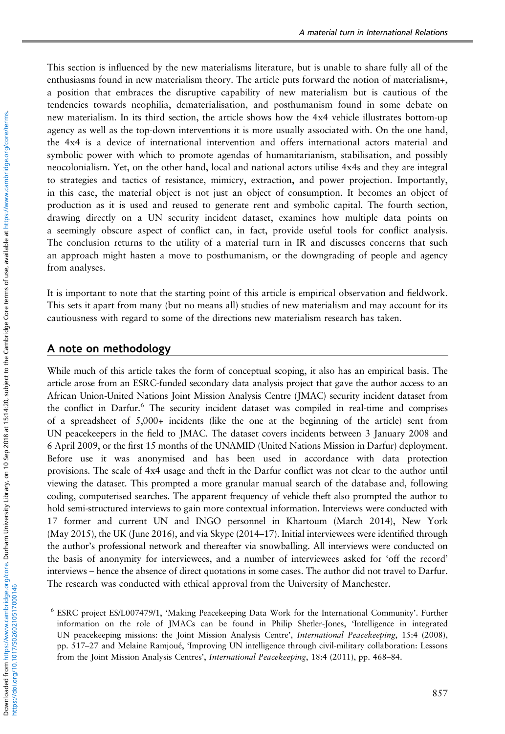This section is influenced by the new materialisms literature, but is unable to share fully all of the enthusiasms found in new materialism theory. The article puts forward the notion of materialism+, a position that embraces the disruptive capability of new materialism but is cautious of the tendencies towards neophilia, dematerialisation, and posthumanism found in some debate on new materialism. In its third section, the article shows how the 4x4 vehicle illustrates bottom-up agency as well as the top-down interventions it is more usually associated with. On the one hand, the 4x4 is a device of international intervention and offers international actors material and symbolic power with which to promote agendas of humanitarianism, stabilisation, and possibly neocolonialism. Yet, on the other hand, local and national actors utilise 4x4s and they are integral to strategies and tactics of resistance, mimicry, extraction, and power projection. Importantly, in this case, the material object is not just an object of consumption. It becomes an object of production as it is used and reused to generate rent and symbolic capital. The fourth section, drawing directly on a UN security incident dataset, examines how multiple data points on a seemingly obscure aspect of conflict can, in fact, provide useful tools for conflict analysis. The conclusion returns to the utility of a material turn in IR and discusses concerns that such an approach might hasten a move to posthumanism, or the downgrading of people and agency from analyses.

It is important to note that the starting point of this article is empirical observation and fieldwork. This sets it apart from many (but no means all) studies of new materialism and may account for its cautiousness with regard to some of the directions new materialism research has taken.

#### A note on methodology

While much of this article takes the form of conceptual scoping, it also has an empirical basis. The article arose from an ESRC-funded secondary data analysis project that gave the author access to an African Union-United Nations Joint Mission Analysis Centre (JMAC) security incident dataset from the conflict in Darfur.<sup>6</sup> The security incident dataset was compiled in real-time and comprises of a spreadsheet of 5,000+ incidents (like the one at the beginning of the article) sent from UN peacekeepers in the field to JMAC. The dataset covers incidents between 3 January 2008 and 6 April 2009, or the first 15 months of the UNAMID (United Nations Mission in Darfur) deployment. Before use it was anonymised and has been used in accordance with data protection provisions. The scale of 4x4 usage and theft in the Darfur conflict was not clear to the author until viewing the dataset. This prompted a more granular manual search of the database and, following coding, computerised searches. The apparent frequency of vehicle theft also prompted the author to hold semi-structured interviews to gain more contextual information. Interviews were conducted with 17 former and current UN and INGO personnel in Khartoum (March 2014), New York (May 2015), the UK (June 2016), and via Skype (2014–17). Initial interviewees were identified through the author's professional network and thereafter via snowballing. All interviews were conducted on the basis of anonymity for interviewees, and a number of interviewees asked for 'off the record' interviews – hence the absence of direct quotations in some cases. The author did not travel to Darfur. The research was conducted with ethical approval from the University of Manchester.

<sup>6</sup> ESRC project ES/L007479/1, 'Making Peacekeeping Data Work for the International Community'. Further information on the role of JMACs can be found in Philip Shetler-Jones, 'Intelligence in integrated UN peacekeeping missions: the Joint Mission Analysis Centre', International Peacekeeping, 15:4 (2008), pp. 517–27 and Melaine Ramjoué, 'Improving UN intelligence through civil-military collaboration: Lessons from the Joint Mission Analysis Centres', International Peacekeeping, 18:4 (2011), pp. 468–84.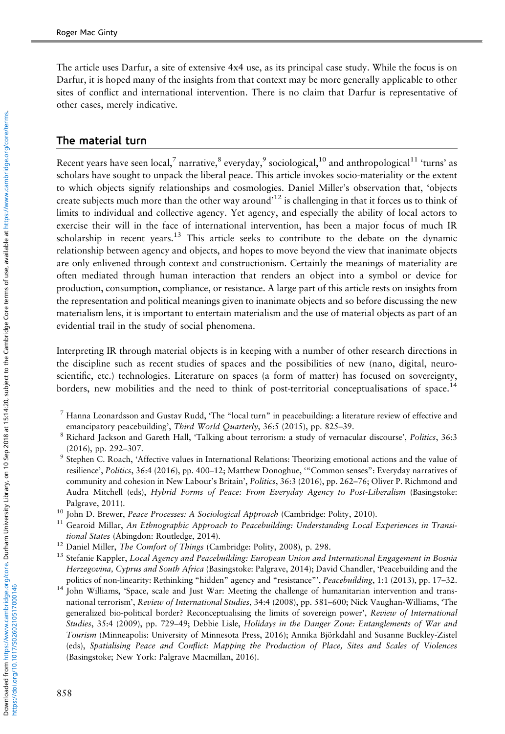The article uses Darfur, a site of extensive 4x4 use, as its principal case study. While the focus is on Darfur, it is hoped many of the insights from that context may be more generally applicable to other sites of conflict and international intervention. There is no claim that Darfur is representative of other cases, merely indicative.

#### The material turn

Recent years have seen local,<sup>7</sup> narrative,<sup>8</sup> everyday,<sup>9</sup> sociological,<sup>10</sup> and anthropological<sup>11</sup> 'turns' as scholars have sought to unpack the liberal peace. This article invokes socio-materiality or the extent to which objects signify relationships and cosmologies. Daniel Miller's observation that, 'objects create subjects much more than the other way around<sup>212</sup> is challenging in that it forces us to think of limits to individual and collective agency. Yet agency, and especially the ability of local actors to exercise their will in the face of international intervention, has been a major focus of much IR scholarship in recent years.<sup>13</sup> This article seeks to contribute to the debate on the dynamic relationship between agency and objects, and hopes to move beyond the view that inanimate objects are only enlivened through context and constructionism. Certainly the meanings of materiality are often mediated through human interaction that renders an object into a symbol or device for production, consumption, compliance, or resistance. A large part of this article rests on insights from the representation and political meanings given to inanimate objects and so before discussing the new materialism lens, it is important to entertain materialism and the use of material objects as part of an evidential trail in the study of social phenomena.

Interpreting IR through material objects is in keeping with a number of other research directions in the discipline such as recent studies of spaces and the possibilities of new (nano, digital, neuroscientific, etc.) technologies. Literature on spaces (a form of matter) has focused on sovereignty, borders, new mobilities and the need to think of post-territorial conceptualisations of space.<sup>14</sup>

- $^7$  Hanna Leonardsson and Gustav Rudd, 'The "local turn" in peacebuilding: a literature review of effective and emancipatory peacebuilding', Third World Quarterly, 36:5 (2015), pp. 825–39.
- <sup>8</sup> Richard Jackson and Gareth Hall, 'Talking about terrorism: a study of vernacular discourse', Politics, 36:3 (2016), pp. 292–307.
- <sup>9</sup> Stephen C. Roach, 'Affective values in International Relations: Theorizing emotional actions and the value of resilience', Politics, 36:4 (2016), pp. 400–12; Matthew Donoghue, '"Common senses": Everyday narratives of community and cohesion in New Labour's Britain', Politics, 36:3 (2016), pp. 262–76; Oliver P. Richmond and Audra Mitchell (eds), Hybrid Forms of Peace: From Everyday Agency to Post-Liberalism (Basingstoke: Palgrave, 2011).
- <sup>10</sup> John D. Brewer, *Peace Processes: A Sociological Approach* (Cambridge: Polity, 2010).<br><sup>11</sup> Gearpid Millar, *An Ethnographic Approach to Peacehuilding: Understanding Local*
- Gearoid Millar, An Ethnographic Approach to Peacebuilding: Understanding Local Experiences in Transitional States (Abingdon: Routledge, 2014).
- <sup>12</sup> Daniel Miller, The Comfort of Things (Cambridge: Polity, 2008), p. 298.
- <sup>13</sup> Stefanie Kappler, Local Agency and Peacebuilding: European Union and International Engagement in Bosnia Herzegovina, Cyprus and South Africa (Basingstoke: Palgrave, 2014); David Chandler, 'Peacebuilding and the politics of non-linearity: Rethinking "hidden" agency and "resistance"', Peacebuilding, 1:1 (2013), pp. 17-32.
- <sup>14</sup> John Williams, 'Space, scale and Just War: Meeting the challenge of humanitarian intervention and transnational terrorism', Review of International Studies, 34:4 (2008), pp. 581–600; Nick Vaughan-Williams, 'The generalized bio-political border? Reconceptualising the limits of sovereign power', Review of International Studies, 35:4 (2009), pp. 729–49; Debbie Lisle, Holidays in the Danger Zone: Entanglements of War and Tourism (Minneapolis: University of Minnesota Press, 2016); Annika Björkdahl and Susanne Buckley-Zistel (eds), Spatialising Peace and Conflict: Mapping the Production of Place, Sites and Scales of Violences (Basingstoke; New York: Palgrave Macmillan, 2016).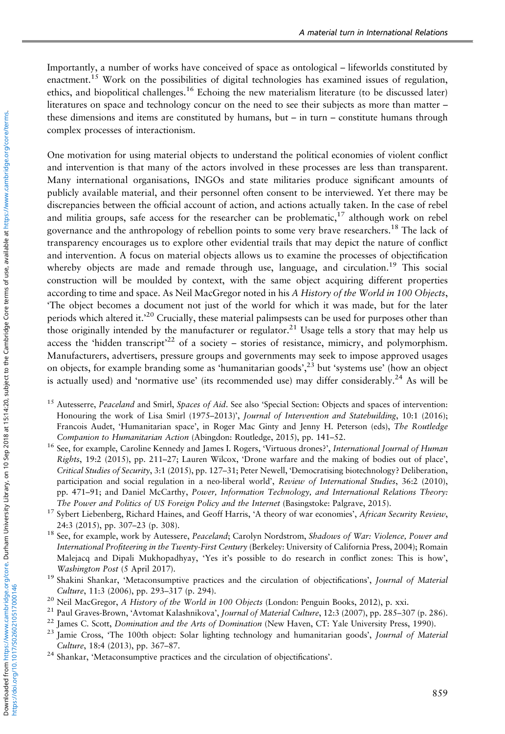Importantly, a number of works have conceived of space as ontological – lifeworlds constituted by enactment.<sup>15</sup> Work on the possibilities of digital technologies has examined issues of regulation, ethics, and biopolitical challenges.<sup>16</sup> Echoing the new materialism literature (to be discussed later) literatures on space and technology concur on the need to see their subjects as more than matter – these dimensions and items are constituted by humans, but – in turn – constitute humans through complex processes of interactionism.

One motivation for using material objects to understand the political economies of violent conflict and intervention is that many of the actors involved in these processes are less than transparent. Many international organisations, INGOs and state militaries produce significant amounts of publicly available material, and their personnel often consent to be interviewed. Yet there may be discrepancies between the official account of action, and actions actually taken. In the case of rebel and militia groups, safe access for the researcher can be problematic,<sup>17</sup> although work on rebel governance and the anthropology of rebellion points to some very brave researchers.<sup>18</sup> The lack of transparency encourages us to explore other evidential trails that may depict the nature of conflict and intervention. A focus on material objects allows us to examine the processes of objectification whereby objects are made and remade through use, language, and circulation.<sup>19</sup> This social construction will be moulded by context, with the same object acquiring different properties according to time and space. As Neil MacGregor noted in his A History of the World in 100 Objects, 'The object becomes a document not just of the world for which it was made, but for the later periods which altered it.<sup>20</sup> Crucially, these material palimpsests can be used for purposes other than those originally intended by the manufacturer or regulator.<sup>21</sup> Usage tells a story that may help us access the 'hidden transcript'<sup>22</sup> of a society – stories of resistance, mimicry, and polymorphism. Manufacturers, advertisers, pressure groups and governments may seek to impose approved usages on objects, for example branding some as 'humanitarian goods',<sup>23</sup> but 'systems use' (how an object is actually used) and 'normative use' (its recommended use) may differ considerably.<sup>24</sup> As will be

- <sup>15</sup> Autesserre, Peaceland and Smirl, Spaces of Aid. See also 'Special Section: Objects and spaces of intervention: Honouring the work of Lisa Smirl (1975–2013)', Journal of Intervention and Statebuilding, 10:1 (2016); Francois Audet, 'Humanitarian space', in Roger Mac Ginty and Jenny H. Peterson (eds), The Routledge Companion to Humanitarian Action (Abingdon: Routledge, 2015), pp. 141–52.
- <sup>16</sup> See, for example, Caroline Kennedy and James I. Rogers, 'Virtuous drones?', International Journal of Human Rights, 19:2 (2015), pp. 211–27; Lauren Wilcox, 'Drone warfare and the making of bodies out of place', Critical Studies of Security, 3:1 (2015), pp. 127–31; Peter Newell, 'Democratising biotechnology? Deliberation, participation and social regulation in a neo-liberal world', Review of International Studies, 36:2 (2010), pp. 471-91; and Daniel McCarthy, Power, Information Technology, and International Relations Theory: The Power and Politics of US Foreign Policy and the Internet (Basingstoke: Palgrave, 2015).
- <sup>17</sup> Sybert Liebenberg, Richard Haines, and Geoff Harris, 'A theory of war economies', African Security Review, 24:3 (2015), pp. 307–23 (p. 308).
- <sup>18</sup> See, for example, work by Autessere, Peaceland; Carolyn Nordstrom, Shadows of War: Violence, Power and International Profiteering in the Twenty-First Century (Berkeley: University of California Press, 2004); Romain Malejacq and Dipali Mukhopadhyay, 'Yes it's possible to do research in conflict zones: This is how', Washington Post (5 April 2017).
- <sup>19</sup> Shakini Shankar, 'Metaconsumptive practices and the circulation of objectifications', Journal of Material Culture, 11:3 (2006), pp. 293–317 (p. 294).
- <sup>20</sup> Neil MacGregor, A History of the World in 100 Objects (London: Penguin Books, 2012), p. xxi.
- <sup>21</sup> Paul Graves-Brown, 'Avtomat Kalashnikova', Journal of Material Culture, 12:3 (2007), pp. 285-307 (p. 286).
- <sup>22</sup> James C. Scott, *Domination and the Arts of Domination* (New Haven, CT: Yale University Press, 1990).
- <sup>23</sup> Jamie Cross, 'The 100th object: Solar lighting technology and humanitarian goods', Journal of Material Culture, 18:4 (2013), pp. 367–87.
- <sup>24</sup> Shankar, 'Metaconsumptive practices and the circulation of objectifications'.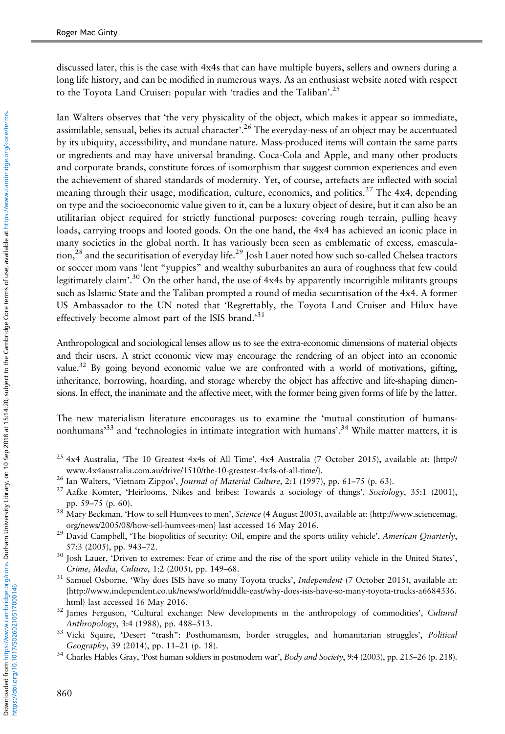discussed later, this is the case with 4x4s that can have multiple buyers, sellers and owners during a long life history, and can be modified in numerous ways. As an enthusiast website noted with respect to the Toyota Land Cruiser: popular with 'tradies and the Taliban'.<sup>25</sup>

Ian Walters observes that 'the very physicality of the object, which makes it appear so immediate, assimilable, sensual, belies its actual character'.<sup>26</sup> The everyday-ness of an object may be accentuated by its ubiquity, accessibility, and mundane nature. Mass-produced items will contain the same parts or ingredients and may have universal branding. Coca-Cola and Apple, and many other products and corporate brands, constitute forces of isomorphism that suggest common experiences and even the achievement of shared standards of modernity. Yet, of course, artefacts are inflected with social meaning through their usage, modification, culture, economics, and politics.<sup>27</sup> The  $4x4$ , depending on type and the socioeconomic value given to it, can be a luxury object of desire, but it can also be an utilitarian object required for strictly functional purposes: covering rough terrain, pulling heavy loads, carrying troops and looted goods. On the one hand, the 4x4 has achieved an iconic place in many societies in the global north. It has variously been seen as emblematic of excess, emascula- $\frac{28}{3}$  and the securitisation of everyday life.<sup>29</sup> Josh Lauer noted how such so-called Chelsea tractors or soccer mom vans 'lent "yuppies" and wealthy suburbanites an aura of roughness that few could legitimately claim'.<sup>30</sup> On the other hand, the use of 4x4s by apparently incorrigible militants groups such as Islamic State and the Taliban prompted a round of media securitisation of the 4x4. A former US Ambassador to the UN noted that 'Regrettably, the Toyota Land Cruiser and Hilux have effectively become almost part of the ISIS brand.' 31

Anthropological and sociological lenses allow us to see the extra-economic dimensions of material objects and their users. A strict economic view may encourage the rendering of an object into an economic value.<sup>32</sup> By going beyond economic value we are confronted with a world of motivations, gifting, inheritance, borrowing, hoarding, and storage whereby the object has affective and life-shaping dimensions. In effect, the inanimate and the affective meet, with the former being given forms of life by the latter.

The new materialism literature encourages us to examine the 'mutual constitution of humansnonhumans<sup>333</sup> and 'technologies in intimate integration with humans'.<sup>34</sup> While matter matters, it is

- <sup>25</sup> 4x4 Australia, 'The 10 Greatest 4x4s of All Time', 4x4 Australia (7 October 2015), available at: [{http://](http://www.4x4australia.com.au/drive/1510/the-10-greatest-4x4s-of-all-time/) [www.4x4australia.com.au/drive/1510/the-10-greatest-4x4s-of-all-time/](http://www.4x4australia.com.au/drive/1510/the-10-greatest-4x4s-of-all-time/)}.
- <sup>26</sup> Ian Walters, 'Vietnam Zippos', Journal of Material Culture, 2:1 (1997), pp. 61-75 (p. 63).
- <sup>27</sup> Aafke Komter, 'Heirlooms, Nikes and bribes: Towards a sociology of things', Sociology, 35:1 (2001), pp. 59–75 (p. 60).
- <sup>28</sup> Mary Beckman, 'How to sell Humvees to men', Science (4 August 2005), available at: [{http://www.sciencemag.](http://www.sciencemag.org/news/2005�/�08/how-sell-humvees-men) [org/news/2005/08/how-sell-humvees-men}](http://www.sciencemag.org/news/2005�/�08/how-sell-humvees-men) last accessed 16 May 2016.
- <sup>29</sup> David Campbell, 'The biopolitics of security: Oil, empire and the sports utility vehicle', American Quarterly, 57:3 (2005), pp. 943–72.
- <sup>30</sup> Josh Lauer, 'Driven to extremes: Fear of crime and the rise of the sport utility vehicle in the United States', Crime, Media, Culture, 1:2 (2005), pp. 149–68.
- <sup>31</sup> Samuel Osborne, 'Why does ISIS have so many Toyota trucks', Independent (7 October 2015), available at: {[http://www.independent.co.uk/news/world/middle-east/why-does-isis-have-so-many-toyota-trucks-a6684336.](http://www.independent.co.uk/news/world/middle-east/why-does-isis-have-so-many-toyota-trucks-a6684336.html) [html}](http://www.independent.co.uk/news/world/middle-east/why-does-isis-have-so-many-toyota-trucks-a6684336.html) last accessed 16 May 2016.
- <sup>32</sup> James Ferguson, 'Cultural exchange: New developments in the anthropology of commodities', Cultural Anthropology, 3:4 (1988), pp. 488–513.
- <sup>33</sup> Vicki Squire, 'Desert "trash": Posthumanism, border struggles, and humanitarian struggles', Political Geography, 39 (2014), pp. 11–21 (p. 18).
- $34$  Charles Hables Gray, 'Post human soldiers in postmodern war', Body and Society, 9:4 (2003), pp. 215–26 (p. 218).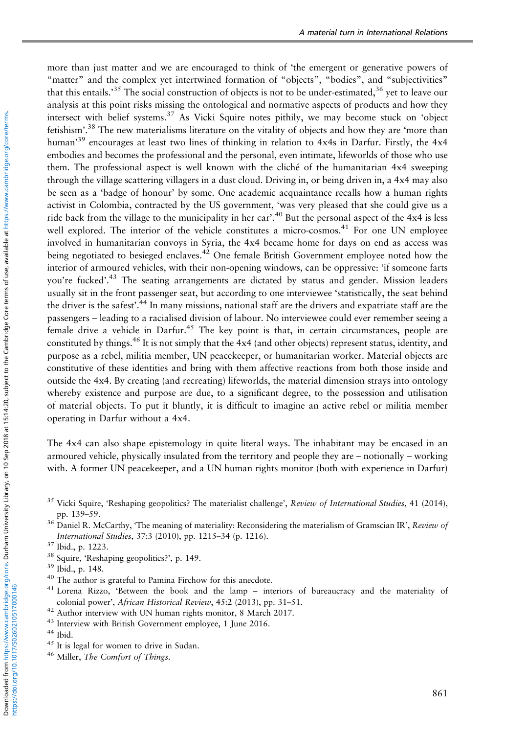more than just matter and we are encouraged to think of 'the emergent or generative powers of "matter" and the complex yet intertwined formation of "objects", "bodies", and "subjectivities" that this entails.' $^{35}$  The social construction of objects is not to be under-estimated, $^{36}$  yet to leave our analysis at this point risks missing the ontological and normative aspects of products and how they intersect with belief systems.<sup>37</sup> As Vicki Squire notes pithily, we may become stuck on 'object fetishism'.<sup>38</sup> The new materialisms literature on the vitality of objects and how they are 'more than human'<sup>39</sup> encourages at least two lines of thinking in relation to 4x4s in Darfur. Firstly, the 4x4 embodies and becomes the professional and the personal, even intimate, lifeworlds of those who use them. The professional aspect is well known with the cliché of the humanitarian 4x4 sweeping through the village scattering villagers in a dust cloud. Driving in, or being driven in, a 4x4 may also be seen as a 'badge of honour' by some. One academic acquaintance recalls how a human rights activist in Colombia, contracted by the US government, 'was very pleased that she could give us a ride back from the village to the municipality in her car'.<sup>40</sup> But the personal aspect of the 4x4 is less well explored. The interior of the vehicle constitutes a micro-cosmos.<sup>41</sup> For one UN employee involved in humanitarian convoys in Syria, the 4x4 became home for days on end as access was being negotiated to besieged enclaves.<sup>42</sup> One female British Government employee noted how the interior of armoured vehicles, with their non-opening windows, can be oppressive: 'if someone farts you're fucked'.<sup>43</sup> The seating arrangements are dictated by status and gender. Mission leaders usually sit in the front passenger seat, but according to one interviewee 'statistically, the seat behind the driver is the safest'.<sup>44</sup> In many missions, national staff are the drivers and expatriate staff are the passengers – leading to a racialised division of labour. No interviewee could ever remember seeing a female drive a vehicle in Darfur.<sup>45</sup> The key point is that, in certain circumstances, people are constituted by things.<sup>46</sup> It is not simply that the  $4x4$  (and other objects) represent status, identity, and purpose as a rebel, militia member, UN peacekeeper, or humanitarian worker. Material objects are constitutive of these identities and bring with them affective reactions from both those inside and outside the 4x4. By creating (and recreating) lifeworlds, the material dimension strays into ontology whereby existence and purpose are due, to a significant degree, to the possession and utilisation of material objects. To put it bluntly, it is difficult to imagine an active rebel or militia member operating in Darfur without a 4x4.

The 4x4 can also shape epistemology in quite literal ways. The inhabitant may be encased in an armoured vehicle, physically insulated from the territory and people they are – notionally – working with. A former UN peacekeeper, and a UN human rights monitor (both with experience in Darfur)

- <sup>35</sup> Vicki Squire, 'Reshaping geopolitics? The materialist challenge', Review of International Studies, 41 (2014), pp. 139–59.
- <sup>36</sup> Daniel R. McCarthy, 'The meaning of materiality: Reconsidering the materialism of Gramscian IR', Review of International Studies, 37:3 (2010), pp. 1215–34 (p. 1216).

<sup>38</sup> Squire, 'Reshaping geopolitics?', p. 149.

- <sup>40</sup> The author is grateful to Pamina Firchow for this anecdote.
- <sup>41</sup> Lorena Rizzo, 'Between the book and the lamp interiors of bureaucracy and the materiality of colonial power', African Historical Review, 45:2 (2013), pp. 31–51.
- <sup>42</sup> Author interview with UN human rights monitor, 8 March 2017.
- <sup>43</sup> Interview with British Government employee, 1 June 2016.
- <sup>44</sup> Ibid.

https://doi.org/10.1017/S0260210517000146

- <sup>45</sup> It is legal for women to drive in Sudan.
- <sup>46</sup> Miller, *The Comfort of Things*.

<sup>37</sup> Ibid., p. 1223.

<sup>39</sup> Ibid., p. 148.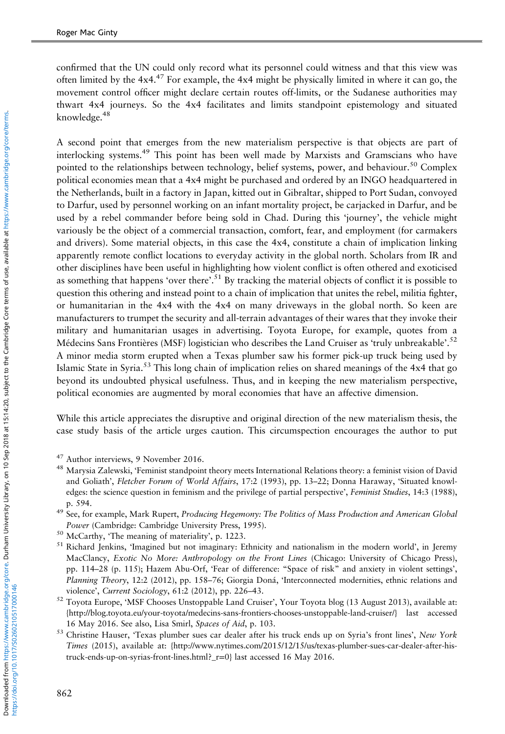confirmed that the UN could only record what its personnel could witness and that this view was often limited by the  $4x4.47$  For example, the  $4x4$  might be physically limited in where it can go, the movement control officer might declare certain routes off-limits, or the Sudanese authorities may thwart 4x4 journeys. So the 4x4 facilitates and limits standpoint epistemology and situated knowledge.<sup>48</sup>

A second point that emerges from the new materialism perspective is that objects are part of interlocking systems.<sup>49</sup> This point has been well made by Marxists and Gramscians who have pointed to the relationships between technology, belief systems, power, and behaviour.<sup>50</sup> Complex political economies mean that a 4x4 might be purchased and ordered by an INGO headquartered in the Netherlands, built in a factory in Japan, kitted out in Gibraltar, shipped to Port Sudan, convoyed to Darfur, used by personnel working on an infant mortality project, be carjacked in Darfur, and be used by a rebel commander before being sold in Chad. During this 'journey', the vehicle might variously be the object of a commercial transaction, comfort, fear, and employment (for carmakers and drivers). Some material objects, in this case the 4x4, constitute a chain of implication linking apparently remote conflict locations to everyday activity in the global north. Scholars from IR and other disciplines have been useful in highlighting how violent conflict is often othered and exoticised as something that happens 'over there'.<sup>51</sup> By tracking the material objects of conflict it is possible to question this othering and instead point to a chain of implication that unites the rebel, militia fighter, or humanitarian in the 4x4 with the 4x4 on many driveways in the global north. So keen are manufacturers to trumpet the security and all-terrain advantages of their wares that they invoke their military and humanitarian usages in advertising. Toyota Europe, for example, quotes from a Médecins Sans Frontières (MSF) logistician who describes the Land Cruiser as 'truly unbreakable'.<sup>52</sup> A minor media storm erupted when a Texas plumber saw his former pick-up truck being used by Islamic State in Syria.53 This long chain of implication relies on shared meanings of the 4x4 that go beyond its undoubted physical usefulness. Thus, and in keeping the new materialism perspective, political economies are augmented by moral economies that have an affective dimension.

While this article appreciates the disruptive and original direction of the new materialism thesis, the case study basis of the article urges caution. This circumspection encourages the author to put

- <sup>49</sup> See, for example, Mark Rupert, Producing Hegemony: The Politics of Mass Production and American Global Power (Cambridge: Cambridge University Press, 1995).
- <sup>50</sup> McCarthy, 'The meaning of materiality', p. 1223.
- <sup>51</sup> Richard Jenkins, 'Imagined but not imaginary: Ethnicity and nationalism in the modern world', in Jeremy MacClancy, Exotic No More: Anthropology on the Front Lines (Chicago: University of Chicago Press), pp. 114–28 (p. 115); Hazem Abu-Orf, 'Fear of difference: "Space of risk" and anxiety in violent settings', Planning Theory, 12:2 (2012), pp. 158–76; Giorgia Doná, 'Interconnected modernities, ethnic relations and violence', Current Sociology, 61:2 (2012), pp. 226–43.
- <sup>52</sup> Toyota Europe, 'MSF Chooses Unstoppable Land Cruiser', Your Toyota blog (13 August 2013), available at: {[http://blog.toyota.eu/your-toyota/medecins-sans-frontiers-chooses-unstoppable-land-cruiser/}](http://blog.toyota.eu/your-toyota/medecins-sans-frontiers-chooses-unstoppable-land-cruiser/) last accessed 16 May 2016. See also, Lisa Smirl, Spaces of Aid, p. 103.
- 53 Christine Hauser, 'Texas plumber sues car dealer after his truck ends up on Syria's front lines', New York Times (2015), available at: [{http://www.nytimes.com/2015/12/15/us/texas-plumber-sues-car-dealer-after-his](http://www.nytimes.com/2015�/�12/15/us/texas-plumber-sues-car-dealer-after-his-truck-ends-up-on-syrias-front-lines.html?_r=0)[truck-ends-up-on-syrias-front-lines.html?\\_r](http://www.nytimes.com/2015�/�12/15/us/texas-plumber-sues-car-dealer-after-his-truck-ends-up-on-syrias-front-lines.html?_r=0)=0} last accessed 16 May 2016.

<sup>47</sup> Author interviews, 9 November 2016.

<sup>48</sup> Marysia Zalewski, 'Feminist standpoint theory meets International Relations theory: a feminist vision of David and Goliath', Fletcher Forum of World Affairs, 17:2 (1993), pp. 13–22; Donna Haraway, 'Situated knowledges: the science question in feminism and the privilege of partial perspective', Feminist Studies, 14:3 (1988), p. 594.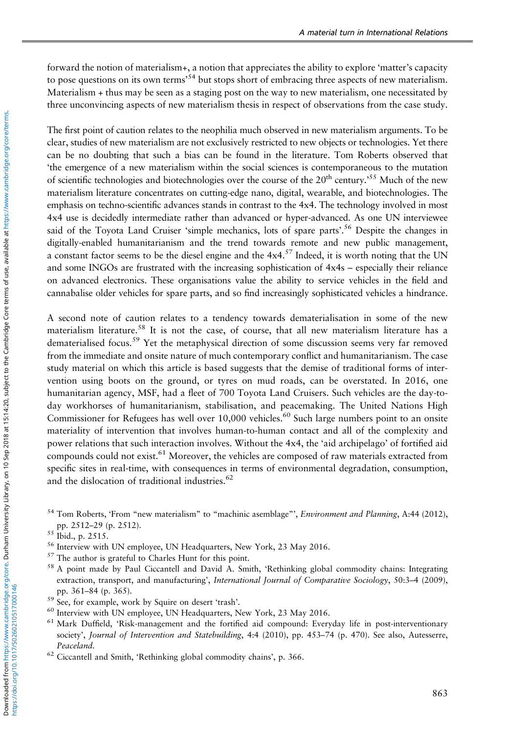forward the notion of materialism+, a notion that appreciates the ability to explore 'matter's capacity to pose questions on its own terms<sup>54</sup> but stops short of embracing three aspects of new materialism. Materialism + thus may be seen as a staging post on the way to new materialism, one necessitated by three unconvincing aspects of new materialism thesis in respect of observations from the case study.

The first point of caution relates to the neophilia much observed in new materialism arguments. To be clear, studies of new materialism are not exclusively restricted to new objects or technologies. Yet there can be no doubting that such a bias can be found in the literature. Tom Roberts observed that 'the emergence of a new materialism within the social sciences is contemporaneous to the mutation of scientific technologies and biotechnologies over the course of the 20<sup>th</sup> century.<sup>55</sup> Much of the new materialism literature concentrates on cutting-edge nano, digital, wearable, and biotechnologies. The emphasis on techno-scientific advances stands in contrast to the 4x4. The technology involved in most 4x4 use is decidedly intermediate rather than advanced or hyper-advanced. As one UN interviewee said of the Toyota Land Cruiser 'simple mechanics, lots of spare parts'.<sup>56</sup> Despite the changes in digitally-enabled humanitarianism and the trend towards remote and new public management, a constant factor seems to be the diesel engine and the  $4x4.^{57}$  Indeed, it is worth noting that the UN and some INGOs are frustrated with the increasing sophistication of 4x4s – especially their reliance on advanced electronics. These organisations value the ability to service vehicles in the field and cannabalise older vehicles for spare parts, and so find increasingly sophisticated vehicles a hindrance.

A second note of caution relates to a tendency towards dematerialisation in some of the new materialism literature.<sup>58</sup> It is not the case, of course, that all new materialism literature has a dematerialised focus.<sup>59</sup> Yet the metaphysical direction of some discussion seems very far removed from the immediate and onsite nature of much contemporary conflict and humanitarianism. The case study material on which this article is based suggests that the demise of traditional forms of intervention using boots on the ground, or tyres on mud roads, can be overstated. In 2016, one humanitarian agency, MSF, had a fleet of 700 Toyota Land Cruisers. Such vehicles are the day-today workhorses of humanitarianism, stabilisation, and peacemaking. The United Nations High Commissioner for Refugees has well over 10,000 vehicles.<sup>60</sup> Such large numbers point to an onsite materiality of intervention that involves human-to-human contact and all of the complexity and power relations that such interaction involves. Without the 4x4, the 'aid archipelago' of fortified aid compounds could not exist.<sup>61</sup> Moreover, the vehicles are composed of raw materials extracted from specific sites in real-time, with consequences in terms of environmental degradation, consumption, and the dislocation of traditional industries.<sup>62</sup>

- <sup>57</sup> The author is grateful to Charles Hunt for this point.
- <sup>58</sup> A point made by Paul Ciccantell and David A. Smith, 'Rethinking global commodity chains: Integrating extraction, transport, and manufacturing', International Journal of Comparative Sociology, 50:3–4 (2009), pp. 361–84 (p. 365).
- <sup>59</sup> See, for example, work by Squire on desert 'trash'.
- <sup>60</sup> Interview with UN employee, UN Headquarters, New York, 23 May 2016.
- <sup>61</sup> Mark Duffield, 'Risk-management and the fortified aid compound: Everyday life in post-interventionary society', Journal of Intervention and Statebuilding, 4:4 (2010), pp. 453-74 (p. 470). See also, Autesserre, Peaceland.
- <sup>62</sup> Ciccantell and Smith, 'Rethinking global commodity chains', p. 366.

<sup>&</sup>lt;sup>54</sup> Tom Roberts, 'From "new materialism" to "machinic asemblage"', *Environment and Planning*, A:44 (2012), pp. 2512–29 (p. 2512).

 $55$  Ibid., p. 2515.

<sup>&</sup>lt;sup>56</sup> Interview with UN employee, UN Headquarters, New York, 23 May 2016.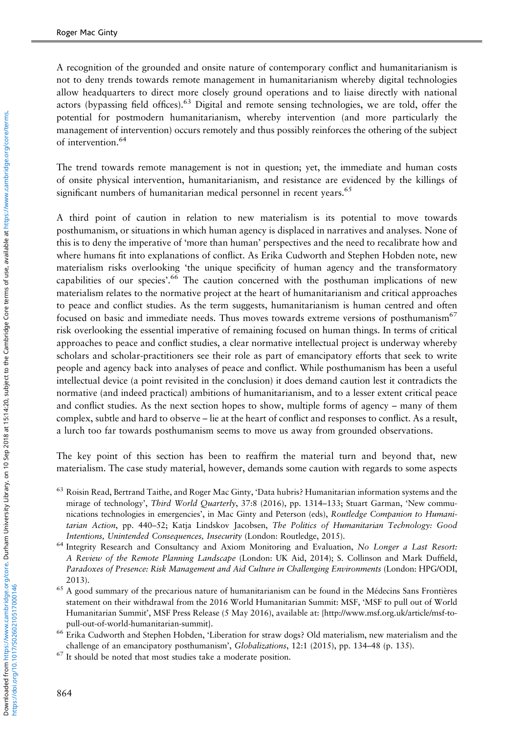A recognition of the grounded and onsite nature of contemporary conflict and humanitarianism is not to deny trends towards remote management in humanitarianism whereby digital technologies allow headquarters to direct more closely ground operations and to liaise directly with national actors (bypassing field offices).<sup>63</sup> Digital and remote sensing technologies, we are told, offer the potential for postmodern humanitarianism, whereby intervention (and more particularly the management of intervention) occurs remotely and thus possibly reinforces the othering of the subject of intervention.<sup>64</sup>

The trend towards remote management is not in question; yet, the immediate and human costs of onsite physical intervention, humanitarianism, and resistance are evidenced by the killings of significant numbers of humanitarian medical personnel in recent years.<sup>65</sup>

A third point of caution in relation to new materialism is its potential to move towards posthumanism, or situations in which human agency is displaced in narratives and analyses. None of this is to deny the imperative of 'more than human' perspectives and the need to recalibrate how and where humans fit into explanations of conflict. As Erika Cudworth and Stephen Hobden note, new materialism risks overlooking 'the unique specificity of human agency and the transformatory capabilities of our species'.<sup>66</sup> The caution concerned with the posthuman implications of new materialism relates to the normative project at the heart of humanitarianism and critical approaches to peace and conflict studies. As the term suggests, humanitarianism is human centred and often focused on basic and immediate needs. Thus moves towards extreme versions of posthumanism<sup>67</sup> risk overlooking the essential imperative of remaining focused on human things. In terms of critical approaches to peace and conflict studies, a clear normative intellectual project is underway whereby scholars and scholar-practitioners see their role as part of emancipatory efforts that seek to write people and agency back into analyses of peace and conflict. While posthumanism has been a useful intellectual device (a point revisited in the conclusion) it does demand caution lest it contradicts the normative (and indeed practical) ambitions of humanitarianism, and to a lesser extent critical peace and conflict studies. As the next section hopes to show, multiple forms of agency – many of them complex, subtle and hard to observe – lie at the heart of conflict and responses to conflict. As a result, a lurch too far towards posthumanism seems to move us away from grounded observations.

The key point of this section has been to reaffirm the material turn and beyond that, new materialism. The case study material, however, demands some caution with regards to some aspects

- <sup>63</sup> Roisin Read, Bertrand Taithe, and Roger Mac Ginty, 'Data hubris? Humanitarian information systems and the mirage of technology', Third World Quarterly, 37:8 (2016), pp. 1314-133; Stuart Garman, 'New communications technologies in emergencies', in Mac Ginty and Peterson (eds), Routledge Companion to Humanitarian Action, pp. 440–52; Katja Lindskov Jacobsen, The Politics of Humanitarian Technology: Good Intentions, Unintended Consequences, Insecurity (London: Routledge, 2015).
- <sup>64</sup> Integrity Research and Consultancy and Axiom Monitoring and Evaluation, No Longer a Last Resort: A Review of the Remote Planning Landscape (London: UK Aid, 2014); S. Collinson and Mark Duffield, Paradoxes of Presence: Risk Management and Aid Culture in Challenging Environments (London: HPG/ODI, 2013).
- <sup>65</sup> A good summary of the precarious nature of humanitarianism can be found in the Médecins Sans Frontières statement on their withdrawal from the 2016 World Humanitarian Summit: MSF, 'MSF to pull out of World Humanitarian Summit', MSF Press Release (5 May 2016), available at: {[http://www.msf.org.uk/article/msf-to](http://www.msf.org.uk/article/msf-to-pull-out-of-world-humanitarian-summit)[pull-out-of-world-humanitarian-summit}](http://www.msf.org.uk/article/msf-to-pull-out-of-world-humanitarian-summit).
- <sup>66</sup> Erika Cudworth and Stephen Hobden, 'Liberation for straw dogs? Old materialism, new materialism and the challenge of an emancipatory posthumanism', Globalizations, 12:1 (2015), pp. 134–48 (p. 135).
- <sup>67</sup> It should be noted that most studies take a moderate position.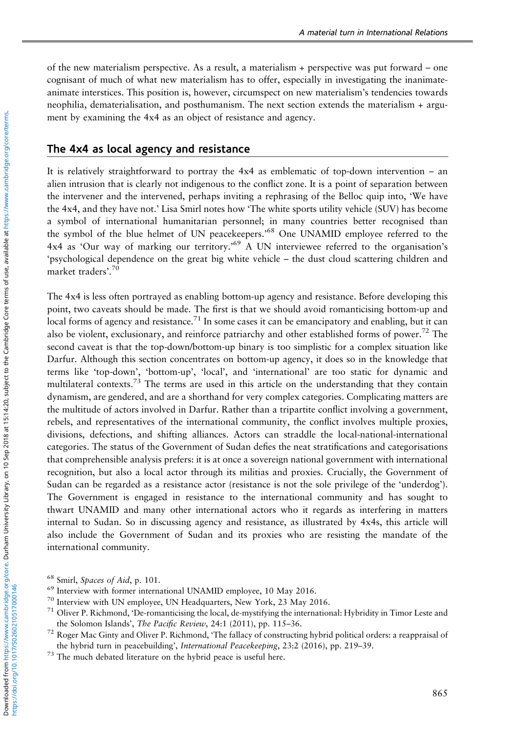of the new materialism perspective. As a result, a materialism + perspective was put forward – one cognisant of much of what new materialism has to offer, especially in investigating the inanimateanimate interstices. This position is, however, circumspect on new materialism's tendencies towards neophilia, dematerialisation, and posthumanism. The next section extends the materialism + argument by examining the 4x4 as an object of resistance and agency.

#### The 4x4 as local agency and resistance

It is relatively straightforward to portray the 4x4 as emblematic of top-down intervention – an alien intrusion that is clearly not indigenous to the conflict zone. It is a point of separation between the intervener and the intervened, perhaps inviting a rephrasing of the Belloc quip into, 'We have the 4x4, and they have not.' Lisa Smirl notes how 'The white sports utility vehicle (SUV) has become a symbol of international humanitarian personnel; in many countries better recognised than the symbol of the blue helmet of UN peacekeepers.' <sup>68</sup> One UNAMID employee referred to the 4x4 as 'Our way of marking our territory.' <sup>69</sup> A UN interviewee referred to the organisation's 'psychological dependence on the great big white vehicle – the dust cloud scattering children and market traders'. 70

The 4x4 is less often portrayed as enabling bottom-up agency and resistance. Before developing this point, two caveats should be made. The first is that we should avoid romanticising bottom-up and local forms of agency and resistance.<sup>71</sup> In some cases it can be emancipatory and enabling, but it can also be violent, exclusionary, and reinforce patriarchy and other established forms of power.<sup>72</sup> The second caveat is that the top-down/bottom-up binary is too simplistic for a complex situation like Darfur. Although this section concentrates on bottom-up agency, it does so in the knowledge that terms like 'top-down', 'bottom-up', 'local', and 'international' are too static for dynamic and multilateral contexts.<sup>73</sup> The terms are used in this article on the understanding that they contain dynamism, are gendered, and are a shorthand for very complex categories. Complicating matters are the multitude of actors involved in Darfur. Rather than a tripartite conflict involving a government, rebels, and representatives of the international community, the conflict involves multiple proxies, divisions, defections, and shifting alliances. Actors can straddle the local-national-international categories. The status of the Government of Sudan defies the neat stratifications and categorisations that comprehensible analysis prefers: it is at once a sovereign national government with international recognition, but also a local actor through its militias and proxies. Crucially, the Government of Sudan can be regarded as a resistance actor (resistance is not the sole privilege of the 'underdog'). The Government is engaged in resistance to the international community and has sought to thwart UNAMID and many other international actors who it regards as interfering in matters internal to Sudan. So in discussing agency and resistance, as illustrated by 4x4s, this article will also include the Government of Sudan and its proxies who are resisting the mandate of the international community.

<sup>68</sup> Smirl, Spaces of Aid, p. 101.

<sup>69</sup> Interview with former international UNAMID employee, 10 May 2016.

<sup>70</sup> Interview with UN employee, UN Headquarters, New York, 23 May 2016.

<sup>71</sup> Oliver P. Richmond, 'De-romanticising the local, de-mystifying the international: Hybridity in Timor Leste and the Solomon Islands', The Pacific Review, 24:1 (2011), pp. 115-36.

 $72$  Roger Mac Ginty and Oliver P. Richmond, 'The fallacy of constructing hybrid political orders: a reappraisal of the hybrid turn in peacebuilding', International Peacekeeping, 23:2 (2016), pp. 219–39.

<sup>&</sup>lt;sup>73</sup> The much debated literature on the hybrid peace is useful here.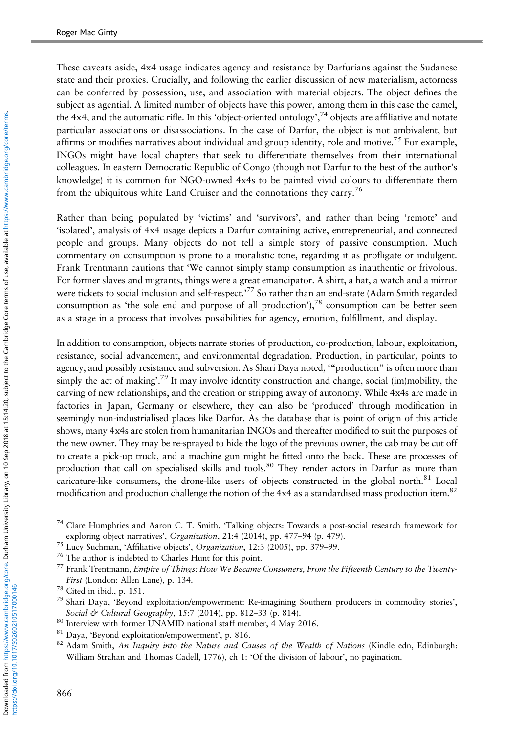These caveats aside, 4x4 usage indicates agency and resistance by Darfurians against the Sudanese state and their proxies. Crucially, and following the earlier discussion of new materialism, actorness can be conferred by possession, use, and association with material objects. The object defines the subject as agential. A limited number of objects have this power, among them in this case the camel, the 4x4, and the automatic rifle. In this 'object-oriented ontology',<sup>74</sup> objects are affiliative and notate particular associations or disassociations. In the case of Darfur, the object is not ambivalent, but affirms or modifies narratives about individual and group identity, role and motive.<sup>75</sup> For example, INGOs might have local chapters that seek to differentiate themselves from their international colleagues. In eastern Democratic Republic of Congo (though not Darfur to the best of the author's knowledge) it is common for NGO-owned 4x4s to be painted vivid colours to differentiate them from the ubiquitous white Land Cruiser and the connotations they carry.<sup>76</sup>

Rather than being populated by 'victims' and 'survivors', and rather than being 'remote' and 'isolated', analysis of 4x4 usage depicts a Darfur containing active, entrepreneurial, and connected people and groups. Many objects do not tell a simple story of passive consumption. Much commentary on consumption is prone to a moralistic tone, regarding it as profligate or indulgent. Frank Trentmann cautions that 'We cannot simply stamp consumption as inauthentic or frivolous. For former slaves and migrants, things were a great emancipator. A shirt, a hat, a watch and a mirror were tickets to social inclusion and self-respect.'<sup>77</sup> So rather than an end-state (Adam Smith regarded consumption as 'the sole end and purpose of all production'),<sup>78</sup> consumption can be better seen as a stage in a process that involves possibilities for agency, emotion, fulfillment, and display.

In addition to consumption, objects narrate stories of production, co-production, labour, exploitation, resistance, social advancement, and environmental degradation. Production, in particular, points to agency, and possibly resistance and subversion. As Shari Daya noted, '"production" is often more than simply the act of making'.<sup>79</sup> It may involve identity construction and change, social (im)mobility, the carving of new relationships, and the creation or stripping away of autonomy. While 4x4s are made in factories in Japan, Germany or elsewhere, they can also be 'produced' through modification in seemingly non-industrialised places like Darfur. As the database that is point of origin of this article shows, many 4x4s are stolen from humanitarian INGOs and thereafter modified to suit the purposes of the new owner. They may be re-sprayed to hide the logo of the previous owner, the cab may be cut off to create a pick-up truck, and a machine gun might be fitted onto the back. These are processes of production that call on specialised skills and tools.<sup>80</sup> They render actors in Darfur as more than caricature-like consumers, the drone-like users of objects constructed in the global north. $81$  Local modification and production challenge the notion of the 4x4 as a standardised mass production item.82

- <sup>80</sup> Interview with former UNAMID national staff member, 4 May 2016.
- <sup>81</sup> Daya, 'Beyond exploitation/empowerment', p. 816.
- $82$  Adam Smith, An Inquiry into the Nature and Causes of the Wealth of Nations (Kindle edn, Edinburgh: William Strahan and Thomas Cadell, 1776), ch 1: 'Of the division of labour', no pagination.

<sup>74</sup> Clare Humphries and Aaron C. T. Smith, 'Talking objects: Towards a post-social research framework for exploring object narratives', Organization, 21:4 (2014), pp. 477–94 (p. 479).

<sup>75</sup> Lucy Suchman, 'Affiliative objects', Organization, 12:3 (2005), pp. 379–99.

<sup>76</sup> The author is indebted to Charles Hunt for this point.

 $^{77}$  Frank Trentmann, Empire of Things: How We Became Consumers, From the Fifteenth Century to the Twenty-First (London: Allen Lane), p. 134.

<sup>78</sup> Cited in ibid., p. 151.

<sup>79</sup> Shari Daya, 'Beyond exploitation/empowerment: Re-imagining Southern producers in commodity stories', Social & Cultural Geography, 15:7 (2014), pp. 812-33 (p. 814).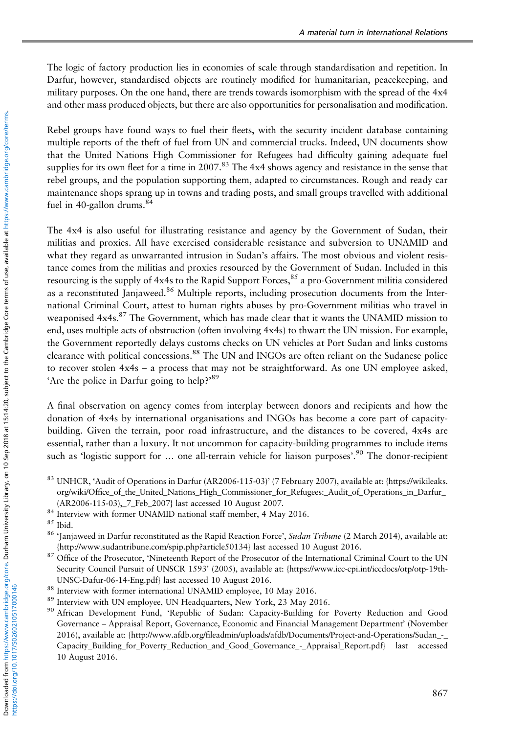The logic of factory production lies in economies of scale through standardisation and repetition. In Darfur, however, standardised objects are routinely modified for humanitarian, peacekeeping, and military purposes. On the one hand, there are trends towards isomorphism with the spread of the 4x4 and other mass produced objects, but there are also opportunities for personalisation and modification.

Rebel groups have found ways to fuel their fleets, with the security incident database containing multiple reports of the theft of fuel from UN and commercial trucks. Indeed, UN documents show that the United Nations High Commissioner for Refugees had difficulty gaining adequate fuel supplies for its own fleet for a time in 2007.<sup>83</sup> The 4x4 shows agency and resistance in the sense that rebel groups, and the population supporting them, adapted to circumstances. Rough and ready car maintenance shops sprang up in towns and trading posts, and small groups travelled with additional fuel in 40-gallon drums. $84$ 

The 4x4 is also useful for illustrating resistance and agency by the Government of Sudan, their militias and proxies. All have exercised considerable resistance and subversion to UNAMID and what they regard as unwarranted intrusion in Sudan's affairs. The most obvious and violent resistance comes from the militias and proxies resourced by the Government of Sudan. Included in this resourcing is the supply of  $4x4s$  to the Rapid Support Forces,  $85$  a pro-Government militia considered as a reconstituted Janjaweed.<sup>86</sup> Multiple reports, including prosecution documents from the International Criminal Court, attest to human rights abuses by pro-Government militias who travel in weaponised 4x4s.<sup>87</sup> The Government, which has made clear that it wants the UNAMID mission to end, uses multiple acts of obstruction (often involving 4x4s) to thwart the UN mission. For example, the Government reportedly delays customs checks on UN vehicles at Port Sudan and links customs clearance with political concessions.<sup>88</sup> The UN and INGOs are often reliant on the Sudanese police to recover stolen 4x4s – a process that may not be straightforward. As one UN employee asked, 'Are the police in Darfur going to help?'<sup>89</sup>

A final observation on agency comes from interplay between donors and recipients and how the donation of 4x4s by international organisations and INGOs has become a core part of capacitybuilding. Given the terrain, poor road infrastructure, and the distances to be covered, 4x4s are essential, rather than a luxury. It not uncommon for capacity-building programmes to include items such as 'logistic support for ... one all-terrain vehicle for liaison purposes'.<sup>90</sup> The donor-recipient

- 83 UNHCR, 'Audit of Operations in Darfur (AR2006-115-03)' (7 February 2007), available at: {[https://wikileaks.](https://wikileaks.org/wiki/Office_of_the_United_Nations_High_Commissioner_for_Refugees:_Audit_of_Operations_in_Darfur_(AR2006-115-03),_7_Feb_2007) org/wiki/Offi[ce\\_of\\_the\\_United\\_Nations\\_High\\_Commissioner\\_for\\_Refugees:\\_Audit\\_of\\_Operations\\_in\\_Darfur\\_](https://wikileaks.org/wiki/Office_of_the_United_Nations_High_Commissioner_for_Refugees:_Audit_of_Operations_in_Darfur_(AR2006-115-03),_7_Feb_2007) [\(AR2006-115-03\),\\_7\\_Feb\\_2007](https://wikileaks.org/wiki/Office_of_the_United_Nations_High_Commissioner_for_Refugees:_Audit_of_Operations_in_Darfur_(AR2006-115-03),_7_Feb_2007)} last accessed 10 August 2007.
- <sup>84</sup> Interview with former UNAMID national staff member, 4 May 2016.

- 86 'Janjaweed in Darfur reconstituted as the Rapid Reaction Force', Sudan Tribune (2 March 2014), available at: {[http://www.sudantribune.com/spip.php?article50134}](http://www.sudantribune.com/spip.php?article50134) last accessed 10 August 2016.
- <sup>87</sup> Office of the Prosecutor, 'Nineteenth Report of the Prosecutor of the International Criminal Court to the UN Security Council Pursuit of UNSCR 1593' (2005), available at: [{https://www.icc-cpi.int/iccdocs/otp/otp-19th-](https://www.icc-cpi.int/iccdocs/otp/otp-19th-UNSC-Dafur-06-14-Eng.pdf)[UNSC-Dafur-06-14-Eng.pdf}](https://www.icc-cpi.int/iccdocs/otp/otp-19th-UNSC-Dafur-06-14-Eng.pdf) last accessed 10 August 2016.
- <sup>88</sup> Interview with former international UNAMID employee, 10 May 2016.
- <sup>89</sup> Interview with UN employee, UN Headquarters, New York, 23 May 2016.
- <sup>90</sup> African Development Fund, 'Republic of Sudan: Capacity-Building for Poverty Reduction and Good Governance – Appraisal Report, Governance, Economic and Financial Management Department' (November 2016), available at: {http://www.afdb.org/fi[leadmin/uploads/afdb/Documents/Project-and-Operations/Sudan\\_-\\_](http://www.afdb.org/fileadmin/uploads/afdb/Documents/Project-and-Operations/Sudan_-_Capacity_Building_for_Poverty_Reduction_and_Good_Governance_-_Appraisal_Report.pdf) [Capacity\\_Building\\_for\\_Poverty\\_Reduction\\_and\\_Good\\_Governance\\_-\\_Appraisal\\_Report.pdf](http://www.afdb.org/fileadmin/uploads/afdb/Documents/Project-and-Operations/Sudan_-_Capacity_Building_for_Poverty_Reduction_and_Good_Governance_-_Appraisal_Report.pdf)} last accessed 10 August 2016.

<sup>85</sup> Ibid.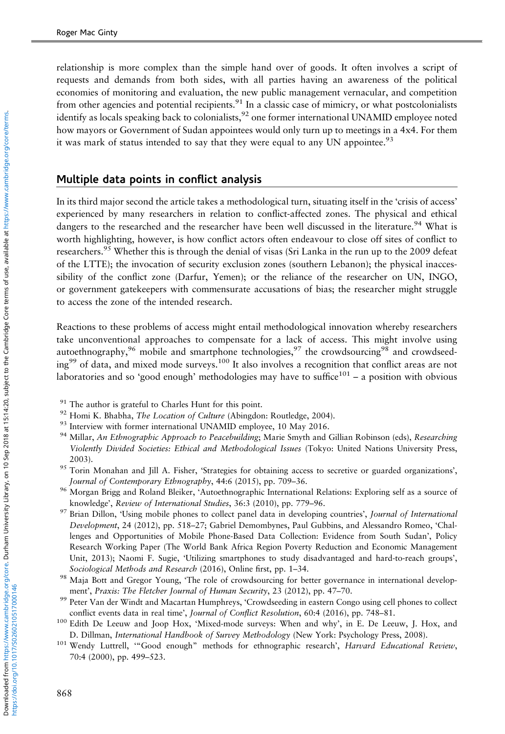relationship is more complex than the simple hand over of goods. It often involves a script of requests and demands from both sides, with all parties having an awareness of the political economies of monitoring and evaluation, the new public management vernacular, and competition from other agencies and potential recipients.<sup>91</sup> In a classic case of mimicry, or what postcolonialists identify as locals speaking back to colonialists,<sup>92</sup> one former international UNAMID employee noted how mayors or Government of Sudan appointees would only turn up to meetings in a 4x4. For them it was mark of status intended to say that they were equal to any UN appointee.<sup>93</sup>

#### Multiple data points in conflict analysis

In its third major second the article takes a methodological turn, situating itself in the 'crisis of access' experienced by many researchers in relation to conflict-affected zones. The physical and ethical dangers to the researched and the researcher have been well discussed in the literature.<sup>94</sup> What is worth highlighting, however, is how conflict actors often endeavour to close off sites of conflict to researchers.<sup>95</sup> Whether this is through the denial of visas (Sri Lanka in the run up to the 2009 defeat of the LTTE); the invocation of security exclusion zones (southern Lebanon); the physical inaccessibility of the conflict zone (Darfur, Yemen); or the reliance of the researcher on UN, INGO, or government gatekeepers with commensurate accusations of bias; the researcher might struggle to access the zone of the intended research.

Reactions to these problems of access might entail methodological innovation whereby researchers take unconventional approaches to compensate for a lack of access. This might involve using autoethnography,<sup>96</sup> mobile and smartphone technologies,<sup>97</sup> the crowdsourcing<sup>98</sup> and crowdseeding99 of data, and mixed mode surveys.<sup>100</sup> It also involves a recognition that conflict areas are not laboratories and so 'good enough' methodologies may have to suffice<sup>101</sup> – a position with obvious

- $91$  The author is grateful to Charles Hunt for this point.
- <sup>92</sup> Homi K. Bhabha, *The Location of Culture* (Abingdon: Routledge, 2004).
- <sup>93</sup> Interview with former international UNAMID employee, 10 May 2016.
- 94 Millar, An Ethnographic Approach to Peacebuilding; Marie Smyth and Gillian Robinson (eds), Researching Violently Divided Societies: Ethical and Methodological Issues (Tokyo: United Nations University Press, 2003).
- <sup>95</sup> Torin Monahan and Jill A. Fisher, 'Strategies for obtaining access to secretive or guarded organizations', Journal of Contemporary Ethnography, 44:6 (2015), pp. 709–36.
- 96 Morgan Brigg and Roland Bleiker, 'Autoethnographic International Relations: Exploring self as a source of knowledge', Review of International Studies, 36:3 (2010), pp. 779–96.
- <sup>97</sup> Brian Dillon, 'Using mobile phones to collect panel data in developing countries', Journal of International Development, 24 (2012), pp. 518–27; Gabriel Demombynes, Paul Gubbins, and Alessandro Romeo, 'Challenges and Opportunities of Mobile Phone-Based Data Collection: Evidence from South Sudan', Policy Research Working Paper (The World Bank Africa Region Poverty Reduction and Economic Management Unit, 2013); Naomi F. Sugie, 'Utilizing smartphones to study disadvantaged and hard-to-reach groups', Sociological Methods and Research (2016), Online first, pp. 1–34.
- 98 Maja Bott and Gregor Young, 'The role of crowdsourcing for better governance in international development', Praxis: The Fletcher Journal of Human Security, 23 (2012), pp. 47–70.
- 99 Peter Van der Windt and Macartan Humphreys, 'Crowdseeding in eastern Congo using cell phones to collect conflict events data in real time', Journal of Conflict Resolution, 60:4 (2016), pp. 748–81.
- <sup>100</sup> Edith De Leeuw and Joop Hox, 'Mixed-mode surveys: When and why', in E. De Leeuw, J. Hox, and D. Dillman, International Handbook of Survey Methodology (New York: Psychology Press, 2008).
- <sup>101</sup> Wendy Luttrell, "Good enough" methods for ethnographic research', Harvard Educational Review, 70:4 (2000), pp. 499–523.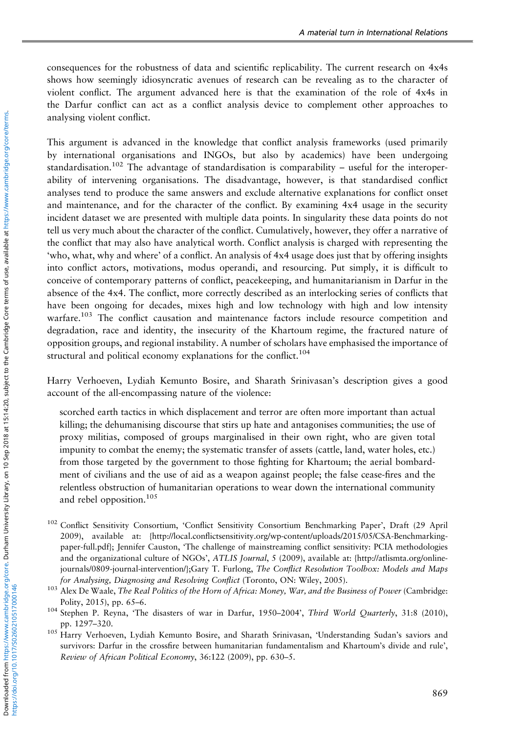consequences for the robustness of data and scientific replicability. The current research on 4x4s shows how seemingly idiosyncratic avenues of research can be revealing as to the character of violent conflict. The argument advanced here is that the examination of the role of 4x4s in the Darfur conflict can act as a conflict analysis device to complement other approaches to analysing violent conflict.

This argument is advanced in the knowledge that conflict analysis frameworks (used primarily by international organisations and INGOs, but also by academics) have been undergoing standardisation.<sup>102</sup> The advantage of standardisation is comparability – useful for the interoperability of intervening organisations. The disadvantage, however, is that standardised conflict analyses tend to produce the same answers and exclude alternative explanations for conflict onset and maintenance, and for the character of the conflict. By examining 4x4 usage in the security incident dataset we are presented with multiple data points. In singularity these data points do not tell us very much about the character of the conflict. Cumulatively, however, they offer a narrative of the conflict that may also have analytical worth. Conflict analysis is charged with representing the 'who, what, why and where' of a conflict. An analysis of 4x4 usage does just that by offering insights into conflict actors, motivations, modus operandi, and resourcing. Put simply, it is difficult to conceive of contemporary patterns of conflict, peacekeeping, and humanitarianism in Darfur in the absence of the 4x4. The conflict, more correctly described as an interlocking series of conflicts that have been ongoing for decades, mixes high and low technology with high and low intensity warfare.103 The conflict causation and maintenance factors include resource competition and degradation, race and identity, the insecurity of the Khartoum regime, the fractured nature of opposition groups, and regional instability. A number of scholars have emphasised the importance of structural and political economy explanations for the conflict.<sup>104</sup>

Harry Verhoeven, Lydiah Kemunto Bosire, and Sharath Srinivasan's description gives a good account of the all-encompassing nature of the violence:

scorched earth tactics in which displacement and terror are often more important than actual killing; the dehumanising discourse that stirs up hate and antagonises communities; the use of proxy militias, composed of groups marginalised in their own right, who are given total impunity to combat the enemy; the systematic transfer of assets (cattle, land, water holes, etc.) from those targeted by the government to those fighting for Khartoum; the aerial bombardment of civilians and the use of aid as a weapon against people; the false cease-fires and the relentless obstruction of humanitarian operations to wear down the international community and rebel opposition.<sup>105</sup>

- <sup>102</sup> Conflict Sensitivity Consortium, 'Conflict Sensitivity Consortium Benchmarking Paper', Draft (29 April 2009), available at: {http://local.confl[ictsensitivity.org/wp-content/uploads/2015/05/CSA-Benchmarking](http://local.conflictsensitivity.org/wp-content/uploads/2015�/�05/CSA-Benchmarking-paper-full.pdf)[paper-full.pdf](http://local.conflictsensitivity.org/wp-content/uploads/2015�/�05/CSA-Benchmarking-paper-full.pdf)}; Jennifer Causton, 'The challenge of mainstreaming conflict sensitivity: PCIA methodologies and the organizational culture of NGOs', ATLIS Journal, 5 (2009), available at: {[http://atlismta.org/online](http://atlismta.org/online-journals/0809-journal-intervention/)[journals/0809-journal-intervention/}](http://atlismta.org/online-journals/0809-journal-intervention/);Gary T. Furlong, The Conflict Resolution Toolbox: Models and Maps for Analysing, Diagnosing and Resolving Conflict (Toronto, ON: Wiley, 2005).
- <sup>103</sup> Alex De Waale, The Real Politics of the Horn of Africa: Money, War, and the Business of Power (Cambridge: Polity, 2015), pp. 65–6.
- <sup>104</sup> Stephen P. Reyna, 'The disasters of war in Darfur, 1950-2004', Third World Quarterly, 31:8 (2010), pp. 1297–320.
- <sup>105</sup> Harry Verhoeven, Lydiah Kemunto Bosire, and Sharath Srinivasan, 'Understanding Sudan's saviors and survivors: Darfur in the crossfire between humanitarian fundamentalism and Khartoum's divide and rule', Review of African Political Economy, 36:122 (2009), pp. 630–5.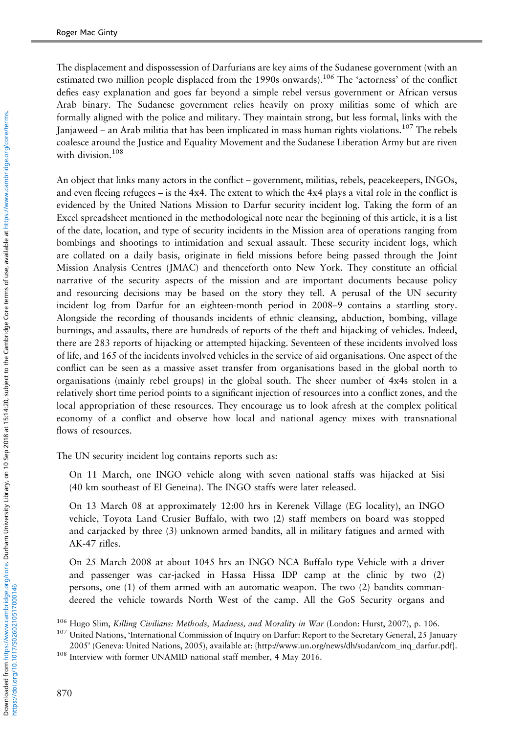The displacement and dispossession of Darfurians are key aims of the Sudanese government (with an estimated two million people displaced from the 1990s onwards).<sup>106</sup> The 'actorness' of the conflict defies easy explanation and goes far beyond a simple rebel versus government or African versus Arab binary. The Sudanese government relies heavily on proxy militias some of which are formally aligned with the police and military. They maintain strong, but less formal, links with the Janjaweed – an Arab militia that has been implicated in mass human rights violations.<sup>107</sup> The rebels coalesce around the Justice and Equality Movement and the Sudanese Liberation Army but are riven with division.<sup>108</sup>

An object that links many actors in the conflict – government, militias, rebels, peacekeepers, INGOs, and even fleeing refugees – is the 4x4. The extent to which the 4x4 plays a vital role in the conflict is evidenced by the United Nations Mission to Darfur security incident log. Taking the form of an Excel spreadsheet mentioned in the methodological note near the beginning of this article, it is a list of the date, location, and type of security incidents in the Mission area of operations ranging from bombings and shootings to intimidation and sexual assault. These security incident logs, which are collated on a daily basis, originate in field missions before being passed through the Joint Mission Analysis Centres (JMAC) and thenceforth onto New York. They constitute an official narrative of the security aspects of the mission and are important documents because policy and resourcing decisions may be based on the story they tell. A perusal of the UN security incident log from Darfur for an eighteen-month period in 2008–9 contains a startling story. Alongside the recording of thousands incidents of ethnic cleansing, abduction, bombing, village burnings, and assaults, there are hundreds of reports of the theft and hijacking of vehicles. Indeed, there are 283 reports of hijacking or attempted hijacking. Seventeen of these incidents involved loss of life, and 165 of the incidents involved vehicles in the service of aid organisations. One aspect of the conflict can be seen as a massive asset transfer from organisations based in the global north to organisations (mainly rebel groups) in the global south. The sheer number of 4x4s stolen in a relatively short time period points to a significant injection of resources into a conflict zones, and the local appropriation of these resources. They encourage us to look afresh at the complex political economy of a conflict and observe how local and national agency mixes with transnational flows of resources.

The UN security incident log contains reports such as:

On 11 March, one INGO vehicle along with seven national staffs was hijacked at Sisi (40 km southeast of El Geneina). The INGO staffs were later released.

On 13 March 08 at approximately 12:00 hrs in Kerenek Village (EG locality), an INGO vehicle, Toyota Land Crusier Buffalo, with two (2) staff members on board was stopped and carjacked by three (3) unknown armed bandits, all in military fatigues and armed with AK-47 rifles.

On 25 March 2008 at about 1045 hrs an INGO NCA Buffalo type Vehicle with a driver and passenger was car-jacked in Hassa Hissa IDP camp at the clinic by two (2) persons, one (1) of them armed with an automatic weapon. The two (2) bandits commandeered the vehicle towards North West of the camp. All the GoS Security organs and

<sup>&</sup>lt;sup>106</sup> Hugo Slim, Killing Civilians: Methods, Madness, and Morality in War (London: Hurst, 2007), p. 106.

<sup>&</sup>lt;sup>107</sup> United Nations, 'International Commission of Inquiry on Darfur: Report to the Secretary General, 25 January 2005' (Geneva: United Nations, 2005), available at: {[http://www.un.org/news/dh/sudan/com\\_inq\\_darfur.pdf}](http://www.un.org/news/dh/sudan/com_inq_darfur.pdf).

<sup>108</sup> Interview with former UNAMID national staff member, 4 May 2016.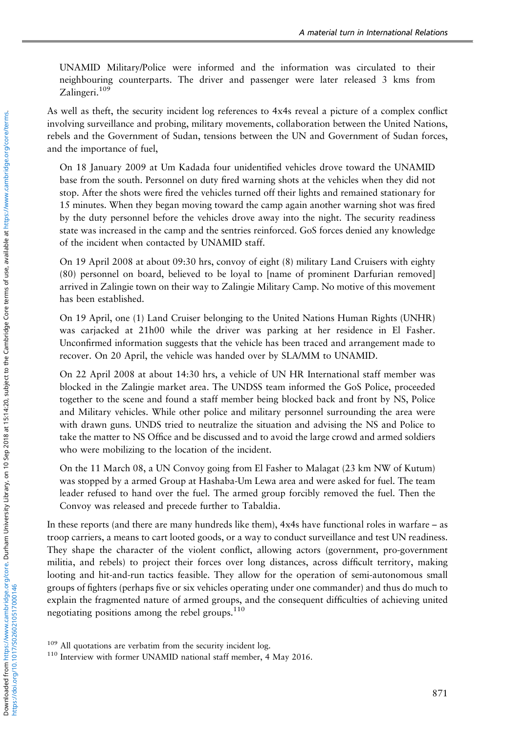UNAMID Military/Police were informed and the information was circulated to their neighbouring counterparts. The driver and passenger were later released 3 kms from Zalingeri.<sup>109</sup>

As well as theft, the security incident log references to 4x4s reveal a picture of a complex conflict involving surveillance and probing, military movements, collaboration between the United Nations, rebels and the Government of Sudan, tensions between the UN and Government of Sudan forces, and the importance of fuel,

On 18 January 2009 at Um Kadada four unidentified vehicles drove toward the UNAMID base from the south. Personnel on duty fired warning shots at the vehicles when they did not stop. After the shots were fired the vehicles turned off their lights and remained stationary for 15 minutes. When they began moving toward the camp again another warning shot was fired by the duty personnel before the vehicles drove away into the night. The security readiness state was increased in the camp and the sentries reinforced. GoS forces denied any knowledge of the incident when contacted by UNAMID staff.

On 19 April 2008 at about 09:30 hrs, convoy of eight (8) military Land Cruisers with eighty (80) personnel on board, believed to be loyal to [name of prominent Darfurian removed] arrived in Zalingie town on their way to Zalingie Military Camp. No motive of this movement has been established.

On 19 April, one (1) Land Cruiser belonging to the United Nations Human Rights (UNHR) was carjacked at 21h00 while the driver was parking at her residence in El Fasher. Unconfirmed information suggests that the vehicle has been traced and arrangement made to recover. On 20 April, the vehicle was handed over by SLA/MM to UNAMID.

On 22 April 2008 at about 14:30 hrs, a vehicle of UN HR International staff member was blocked in the Zalingie market area. The UNDSS team informed the GoS Police, proceeded together to the scene and found a staff member being blocked back and front by NS, Police and Military vehicles. While other police and military personnel surrounding the area were with drawn guns. UNDS tried to neutralize the situation and advising the NS and Police to take the matter to NS Office and be discussed and to avoid the large crowd and armed soldiers who were mobilizing to the location of the incident.

On the 11 March 08, a UN Convoy going from El Fasher to Malagat (23 km NW of Kutum) was stopped by a armed Group at Hashaba-Um Lewa area and were asked for fuel. The team leader refused to hand over the fuel. The armed group forcibly removed the fuel. Then the Convoy was released and precede further to Tabaldia.

In these reports (and there are many hundreds like them), 4x4s have functional roles in warfare – as troop carriers, a means to cart looted goods, or a way to conduct surveillance and test UN readiness. They shape the character of the violent conflict, allowing actors (government, pro-government militia, and rebels) to project their forces over long distances, across difficult territory, making looting and hit-and-run tactics feasible. They allow for the operation of semi-autonomous small groups of fighters (perhaps five or six vehicles operating under one commander) and thus do much to explain the fragmented nature of armed groups, and the consequent difficulties of achieving united negotiating positions among the rebel groups.<sup>110</sup>

<sup>&</sup>lt;sup>109</sup> All quotations are verbatim from the security incident log.

<sup>110</sup> Interview with former UNAMID national staff member, 4 May 2016.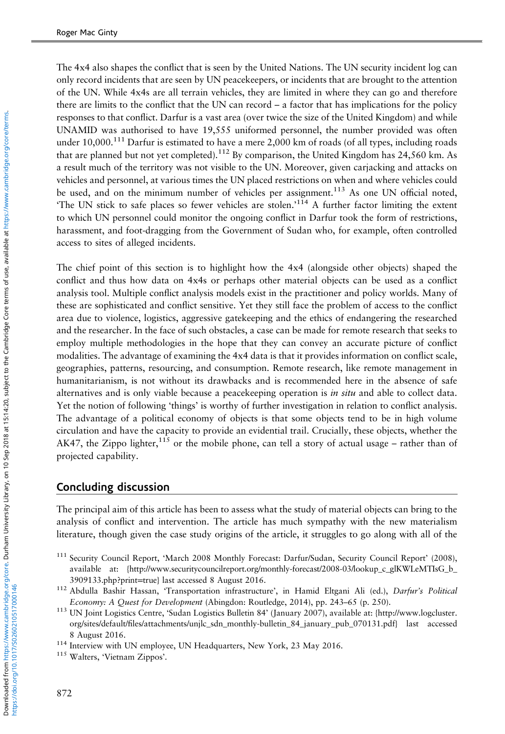The 4x4 also shapes the conflict that is seen by the United Nations. The UN security incident log can only record incidents that are seen by UN peacekeepers, or incidents that are brought to the attention of the UN. While 4x4s are all terrain vehicles, they are limited in where they can go and therefore there are limits to the conflict that the UN can record – a factor that has implications for the policy responses to that conflict. Darfur is a vast area (over twice the size of the United Kingdom) and while UNAMID was authorised to have 19,555 uniformed personnel, the number provided was often under  $10,000$ .<sup>111</sup> Darfur is estimated to have a mere 2,000 km of roads (of all types, including roads that are planned but not yet completed).<sup>112</sup> By comparison, the United Kingdom has  $24,560$  km. As a result much of the territory was not visible to the UN. Moreover, given carjacking and attacks on vehicles and personnel, at various times the UN placed restrictions on when and where vehicles could be used, and on the minimum number of vehicles per assignment.<sup>113</sup> As one UN official noted, The UN stick to safe places so fewer vehicles are stolen.'<sup>114</sup> A further factor limiting the extent to which UN personnel could monitor the ongoing conflict in Darfur took the form of restrictions, harassment, and foot-dragging from the Government of Sudan who, for example, often controlled access to sites of alleged incidents.

The chief point of this section is to highlight how the 4x4 (alongside other objects) shaped the conflict and thus how data on 4x4s or perhaps other material objects can be used as a conflict analysis tool. Multiple conflict analysis models exist in the practitioner and policy worlds. Many of these are sophisticated and conflict sensitive. Yet they still face the problem of access to the conflict area due to violence, logistics, aggressive gatekeeping and the ethics of endangering the researched and the researcher. In the face of such obstacles, a case can be made for remote research that seeks to employ multiple methodologies in the hope that they can convey an accurate picture of conflict modalities. The advantage of examining the 4x4 data is that it provides information on conflict scale, geographies, patterns, resourcing, and consumption. Remote research, like remote management in humanitarianism, is not without its drawbacks and is recommended here in the absence of safe alternatives and is only viable because a peacekeeping operation is *in situ* and able to collect data. Yet the notion of following 'things' is worthy of further investigation in relation to conflict analysis. The advantage of a political economy of objects is that some objects tend to be in high volume circulation and have the capacity to provide an evidential trail. Crucially, these objects, whether the AK47, the Zippo lighter,<sup>115</sup> or the mobile phone, can tell a story of actual usage – rather than of projected capability.

## Concluding discussion

The principal aim of this article has been to assess what the study of material objects can bring to the analysis of conflict and intervention. The article has much sympathy with the new materialism literature, though given the case study origins of the article, it struggles to go along with all of the

<sup>&</sup>lt;sup>111</sup> Security Council Report, 'March 2008 Monthly Forecast: Darfur/Sudan, Security Council Report' (2008), available at: [{http://www.securitycouncilreport.org/monthly-forecast/2008-03/lookup\\_c\\_glKWLeMTIsG\\_b\\_](http://www.securitycouncilreport.org/monthly-forecast/2008-03/lookup_c_glKWLeMTIsG_b_3909133.php?print=true) [3909133.php?print](http://www.securitycouncilreport.org/monthly-forecast/2008-03/lookup_c_glKWLeMTIsG_b_3909133.php?print=true)=true} last accessed 8 August 2016.

<sup>112</sup> Abdulla Bashir Hassan, 'Transportation infrastructure', in Hamid Eltgani Ali (ed.), Darfur's Political Economy: A Quest for Development (Abingdon: Routledge, 2014), pp. 243–65 (p. 250).

<sup>113</sup> UN Joint Logistics Centre, 'Sudan Logistics Bulletin 84' (January 2007), available at: {[http://www.logcluster.](http://www.logcluster.org/sites/default/files/attachments/unjlc_sdn_monthly-bulletin_84_january_pub_070131.pdf) org/sites/default/fi[les/attachments/unjlc\\_sdn\\_monthly-bulletin\\_84\\_january\\_pub\\_070131.pdf](http://www.logcluster.org/sites/default/files/attachments/unjlc_sdn_monthly-bulletin_84_january_pub_070131.pdf)} last accessed 8 August 2016.

<sup>&</sup>lt;sup>114</sup> Interview with UN employee, UN Headquarters, New York, 23 May 2016.

<sup>&</sup>lt;sup>115</sup> Walters, 'Vietnam Zippos'.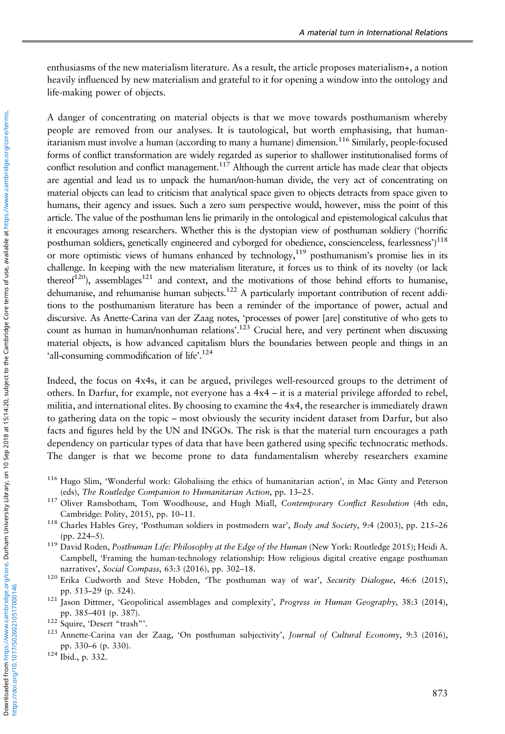enthusiasms of the new materialism literature. As a result, the article proposes materialism+, a notion heavily influenced by new materialism and grateful to it for opening a window into the ontology and life-making power of objects.

A danger of concentrating on material objects is that we move towards posthumanism whereby people are removed from our analyses. It is tautological, but worth emphasising, that humanitarianism must involve a human (according to many a humane) dimension.<sup>116</sup> Similarly, people-focused forms of conflict transformation are widely regarded as superior to shallower institutionalised forms of conflict resolution and conflict management.<sup>117</sup> Although the current article has made clear that objects are agential and lead us to unpack the human/non-human divide, the very act of concentrating on material objects can lead to criticism that analytical space given to objects detracts from space given to humans, their agency and issues. Such a zero sum perspective would, however, miss the point of this article. The value of the posthuman lens lie primarily in the ontological and epistemological calculus that it encourages among researchers. Whether this is the dystopian view of posthuman soldiery ('horrific posthuman soldiers, genetically engineered and cyborged for obedience, conscienceless, fearlessness')<sup>118</sup> or more optimistic views of humans enhanced by technology,  $119$  posthumanism's promise lies in its challenge. In keeping with the new materialism literature, it forces us to think of its novelty (or lack thereof<sup>120</sup>), assemblages<sup>121</sup> and context, and the motivations of those behind efforts to humanise, dehumanise, and rehumanise human subjects.<sup>122</sup> A particularly important contribution of recent additions to the posthumanism literature has been a reminder of the importance of power, actual and discursive. As Anette-Carina van der Zaag notes, 'processes of power [are] constitutive of who gets to count as human in human/nonhuman relations'. <sup>123</sup> Crucial here, and very pertinent when discussing material objects, is how advanced capitalism blurs the boundaries between people and things in an 'all-consuming commodification of life'.<sup>124</sup>

Indeed, the focus on 4x4s, it can be argued, privileges well-resourced groups to the detriment of others. In Darfur, for example, not everyone has a  $4x4 - it$  is a material privilege afforded to rebel, militia, and international elites. By choosing to examine the 4x4, the researcher is immediately drawn to gathering data on the topic – most obviously the security incident dataset from Darfur, but also facts and figures held by the UN and INGOs. The risk is that the material turn encourages a path dependency on particular types of data that have been gathered using specific technocratic methods. The danger is that we become prone to data fundamentalism whereby researchers examine

- <sup>116</sup> Hugo Slim, 'Wonderful work: Globalising the ethics of humanitarian action', in Mac Ginty and Peterson (eds), The Routledge Companion to Humanitarian Action, pp. 13–25.
- <sup>117</sup> Oliver Ramsbotham, Tom Woodhouse, and Hugh Miall, Contemporary Conflict Resolution (4th edn, Cambridge: Polity, 2015), pp. 10–11.
- <sup>118</sup> Charles Hables Grey, 'Posthuman soldiers in postmodern war', Body and Society, 9:4 (2003), pp. 215-26 (pp. 224–5).
- <sup>119</sup> David Roden, Posthuman Life: Philosophy at the Edge of the Human (New York: Routledge 2015); Heidi A. Campbell, 'Framing the human-technology relationship: How religious digital creative engage posthuman narratives', Social Compass, 63:3 (2016), pp. 302-18.
- <sup>120</sup> Erika Cudworth and Steve Hobden, 'The posthuman way of war', Security Dialogue, 46:6 (2015), pp. 513–29 (p. 524).
- <sup>121</sup> Jason Dittmer, 'Geopolitical assemblages and complexity', Progress in Human Geography, 38:3 (2014), pp. 385–401 (p. 387).

- <sup>123</sup> Annette-Carina van der Zaag, 'On posthuman subjectivity', Journal of Cultural Economy, 9:3 (2016), pp. 330–6 (p. 330).
- <sup>124</sup> Ibid., p. 332.

<sup>122</sup> Squire, 'Desert "trash"'.